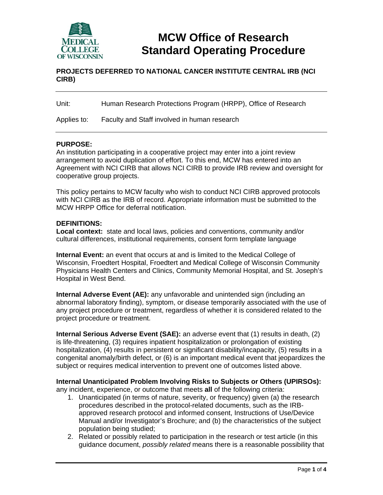

# **MCW Office of Research Standard Operating Procedure**

# **PROJECTS DEFERRED TO NATIONAL CANCER INSTITUTE CENTRAL IRB (NCI CIRB)**

| Unit: | Human Research Protections Program (HRPP), Office of Research |
|-------|---------------------------------------------------------------|
|-------|---------------------------------------------------------------|

Applies to: Faculty and Staff involved in human research

# **PURPOSE:**

An institution participating in a cooperative project may enter into a joint review arrangement to avoid duplication of effort. To this end, MCW has entered into an Agreement with NCI CIRB that allows NCI CIRB to provide IRB review and oversight for cooperative group projects.

This policy pertains to MCW faculty who wish to conduct NCI CIRB approved protocols with NCI CIRB as the IRB of record. Appropriate information must be submitted to the MCW HRPP Office for deferral notification.

#### **DEFINITIONS:**

**Local context:** state and local laws, policies and conventions, community and/or cultural differences, institutional requirements, consent form template language

**Internal Event:** an event that occurs at and is limited to the Medical College of Wisconsin, Froedtert Hospital, Froedtert and Medical College of Wisconsin Community Physicians Health Centers and Clinics, Community Memorial Hospital, and St. Joseph's Hospital in West Bend.

**Internal Adverse Event (AE):** any unfavorable and unintended sign (including an abnormal laboratory finding), symptom, or disease temporarily associated with the use of any project procedure or treatment, regardless of whether it is considered related to the project procedure or treatment.

**Internal Serious Adverse Event (SAE):** an adverse event that (1) results in death, (2) is life-threatening, (3) requires inpatient hospitalization or prolongation of existing hospitalization, (4) results in persistent or significant disability/incapacity, (5) results in a congenital anomaly/birth defect, or (6) is an important medical event that jeopardizes the subject or requires medical intervention to prevent one of outcomes listed above.

**Internal Unanticipated Problem Involving Risks to Subjects or Others (UPIRSOs):** any incident, experience, or outcome that meets **all** of the following criteria:

- 1. Unanticipated (in terms of nature, severity, or frequency) given (a) the research procedures described in the protocol-related documents, such as the IRBapproved research protocol and informed consent, Instructions of Use/Device Manual and/or Investigator's Brochure; and (b) the characteristics of the subject population being studied;
- 2. Related or possibly related to participation in the research or test article (in this guidance document, *possibly related* means there is a reasonable possibility that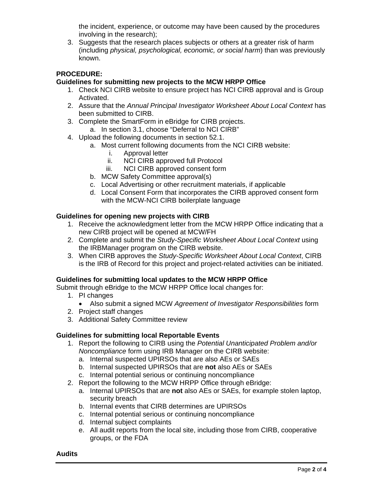the incident, experience, or outcome may have been caused by the procedures involving in the research);

3. Suggests that the research places subjects or others at a greater risk of harm (including *physical, psychological, economic, or social harm*) than was previously known.

# **PROCEDURE:**

## **Guidelines for submitting new projects to the MCW HRPP Office**

- 1. Check NCI CIRB website to ensure project has NCI CIRB approval and is Group Activated.
- 2. Assure that the *Annual Principal Investigator Worksheet About Local Context* has been submitted to CIRB.
- 3. Complete the SmartForm in eBridge for CIRB projects.
	- a. In section 3.1, choose "Deferral to NCI CIRB"
- 4. Upload the following documents in section 52.1.
	- a. Most current following documents from the NCI CIRB website:
		- i. Approval letter
		- ii. NCI CIRB approved full Protocol
		- iii. NCI CIRB approved consent form
	- b. MCW Safety Committee approval(s)
	- c. Local Advertising or other recruitment materials, if applicable
	- d. Local Consent Form that incorporates the CIRB approved consent form with the MCW-NCI CIRB boilerplate language

#### **Guidelines for opening new projects with CIRB**

- 1. Receive the acknowledgment letter from the MCW HRPP Office indicating that a new CIRB project will be opened at MCW/FH
- 2. Complete and submit the *Study-Specific Worksheet About Local Context* using the IRBManager program on the CIRB website.
- 3. When CIRB approves the *Study-Specific Worksheet About Local Context*, CIRB is the IRB of Record for this project and project-related activities can be initiated.

#### **Guidelines for submitting local updates to the MCW HRPP Office**

Submit through eBridge to the MCW HRPP Office local changes for:

- 1. PI changes
	- Also submit a signed MCW *Agreement of Investigator Responsibilities* form
- 2. Project staff changes
- 3. Additional Safety Committee review

# **Guidelines for submitting local Reportable Events**

- 1. Report the following to CIRB using the *Potential Unanticipated Problem and/or Noncompliance* form using IRB Manager on the CIRB website:
	- a. Internal suspected UPIRSOs that are also AEs or SAEs
	- b. Internal suspected UPIRSOs that are **not** also AEs or SAEs
	- c. Internal potential serious or continuing noncompliance
- 2. Report the following to the MCW HRPP Office through eBridge:
	- a. Internal UPIRSOs that are **not** also AEs or SAEs, for example stolen laptop, security breach
	- b. Internal events that CIRB determines are UPIRSOs
	- c. Internal potential serious or continuing noncompliance
	- d. Internal subject complaints
	- e. All audit reports from the local site, including those from CIRB, cooperative groups, or the FDA

#### **Audits**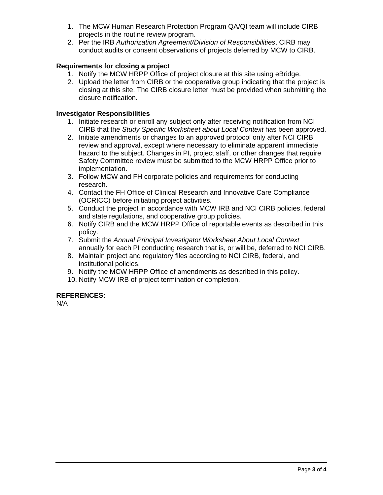- 1. The MCW Human Research Protection Program QA/QI team will include CIRB projects in the routine review program.
- 2. Per the IRB *Authorization Agreement/Division of Responsibilities*, CIRB may conduct audits or consent observations of projects deferred by MCW to CIRB.

# **Requirements for closing a project**

- 1. Notify the MCW HRPP Office of project closure at this site using eBridge.
- 2. Upload the letter from CIRB or the cooperative group indicating that the project is closing at this site. The CIRB closure letter must be provided when submitting the closure notification.

# **Investigator Responsibilities**

- 1. Initiate research or enroll any subject only after receiving notification from NCI CIRB that the *Study Specific Worksheet about Local Context* has been approved.
- 2. Initiate amendments or changes to an approved protocol only after NCI CIRB review and approval, except where necessary to eliminate apparent immediate hazard to the subject. Changes in PI, project staff, or other changes that require Safety Committee review must be submitted to the MCW HRPP Office prior to implementation.
- 3. Follow MCW and FH corporate policies and requirements for conducting research.
- 4. Contact the FH Office of Clinical Research and Innovative Care Compliance (OCRICC) before initiating project activities.
- 5. Conduct the project in accordance with MCW IRB and NCI CIRB policies, federal and state regulations, and cooperative group policies.
- 6. Notify CIRB and the MCW HRPP Office of reportable events as described in this policy.
- 7. Submit the *Annual Principal Investigator Worksheet About Local Context* annually for each PI conducting research that is, or will be, deferred to NCI CIRB.
- 8. Maintain project and regulatory files according to NCI CIRB, federal, and institutional policies.
- 9. Notify the MCW HRPP Office of amendments as described in this policy.
- 10. Notify MCW IRB of project termination or completion.

# **REFERENCES:**

N/A